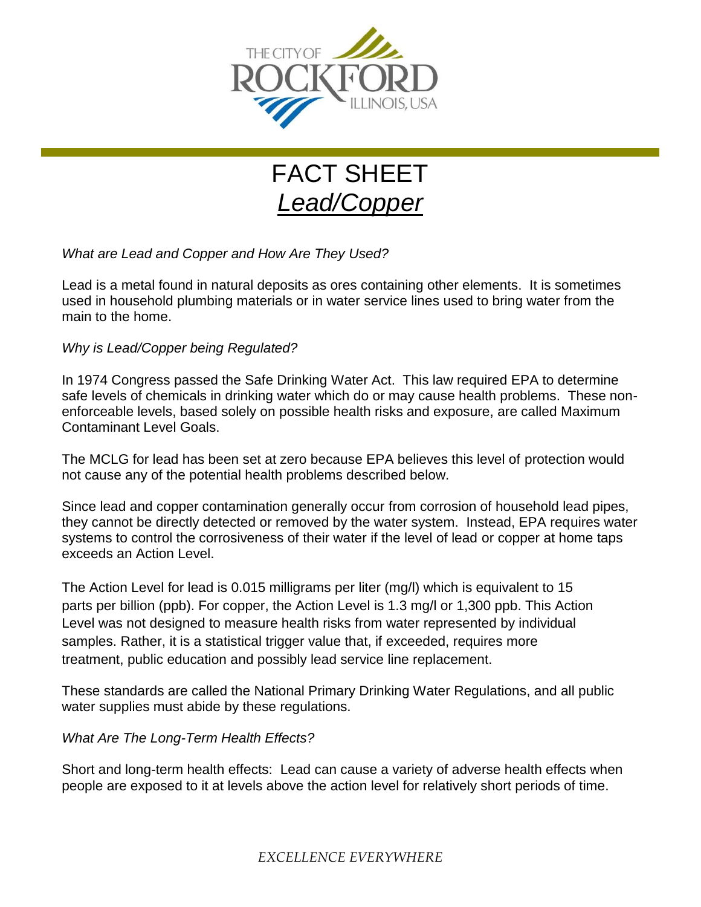

# FACT SHEET *Lead/Copper*

## *What are Lead and Copper and How Are They Used?*

Lead is a metal found in natural deposits as ores containing other elements. It is sometimes used in household plumbing materials or in water service lines used to bring water from the main to the home.

*Why is Lead/Copper being Regulated?*

In 1974 Congress passed the Safe Drinking Water Act. This law required EPA to determine safe levels of chemicals in drinking water which do or may cause health problems. These nonenforceable levels, based solely on possible health risks and exposure, are called Maximum Contaminant Level Goals.

The MCLG for lead has been set at zero because EPA believes this level of protection would not cause any of the potential health problems described below.

Since lead and copper contamination generally occur from corrosion of household lead pipes, they cannot be directly detected or removed by the water system. Instead, EPA requires water systems to control the corrosiveness of their water if the level of lead or copper at home taps exceeds an Action Level.

The Action Level for lead is 0.015 milligrams per liter (mg/l) which is equivalent to 15 parts per billion (ppb). For copper, the Action Level is 1.3 mg/l or 1,300 ppb. This Action Level was not designed to measure health risks from water represented by individual samples. Rather, it is a statistical trigger value that, if exceeded, requires more treatment, public education and possibly lead service line replacement.

These standards are called the National Primary Drinking Water Regulations, and all public water supplies must abide by these regulations.

### *What Are The Long-Term Health Effects?*

Short and long-term health effects: Lead can cause a variety of adverse health effects when people are exposed to it at levels above the action level for relatively short periods of time.

*EXCELLENCE EVERYWHERE*